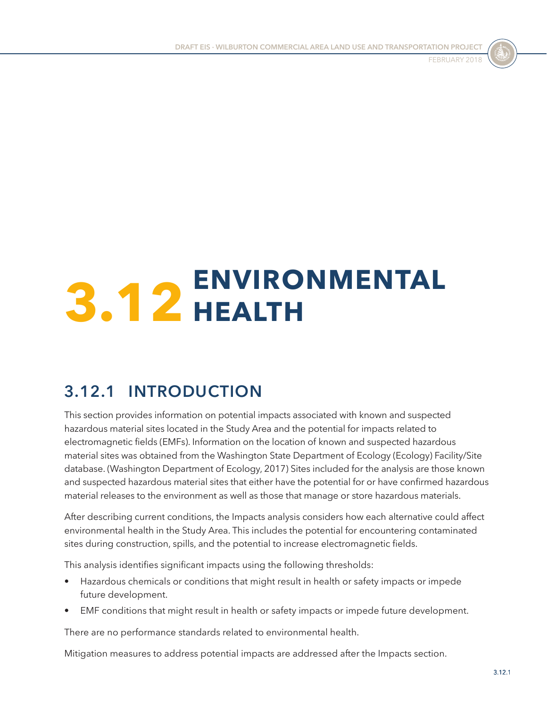

# **3.12 ENVIRONMENTAL HEALTH**

# **3.12.1 INTRODUCTION**

This section provides information on potential impacts associated with known and suspected hazardous material sites located in the Study Area and the potential for impacts related to electromagnetic fields (EMFs). Information on the location of known and suspected hazardous material sites was obtained from the Washington State Department of Ecology (Ecology) Facility/Site database. (Washington Department of Ecology, 2017) Sites included for the analysis are those known and suspected hazardous material sites that either have the potential for or have confirmed hazardous material releases to the environment as well as those that manage or store hazardous materials.

After describing current conditions, the Impacts analysis considers how each alternative could affect environmental health in the Study Area. This includes the potential for encountering contaminated sites during construction, spills, and the potential to increase electromagnetic fields.

This analysis identifies significant impacts using the following thresholds:

- Hazardous chemicals or conditions that might result in health or safety impacts or impede future development.
- EMF conditions that might result in health or safety impacts or impede future development.

There are no performance standards related to environmental health.

Mitigation measures to address potential impacts are addressed after the Impacts section.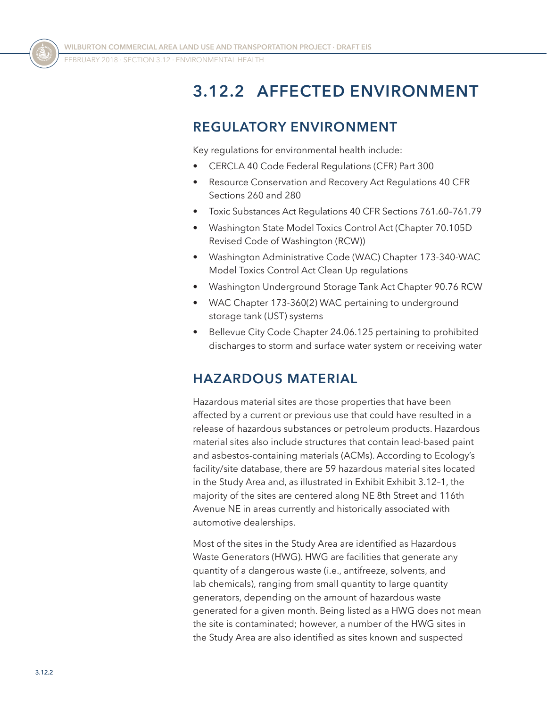# <span id="page-1-0"></span>**3.12.2 AFFECTED ENVIRONMENT**

## **REGULATORY ENVIRONMENT**

Key regulations for environmental health include:

- CERCLA 40 Code Federal Regulations (CFR) Part 300
- Resource Conservation and Recovery Act Regulations 40 CFR Sections 260 and 280
- Toxic Substances Act Regulations 40 CFR Sections 761.60–761.79
- Washington State Model Toxics Control Act (Chapter 70.105D Revised Code of Washington (RCW))
- Washington Administrative Code (WAC) Chapter 173-340-WAC Model Toxics Control Act Clean Up regulations
- Washington Underground Storage Tank Act Chapter 90.76 RCW
- WAC Chapter 173-360(2) WAC pertaining to underground storage tank (UST) systems
- Bellevue City Code Chapter 24.06.125 pertaining to prohibited discharges to storm and surface water system or receiving water

## **HAZARDOUS MATERIAL**

Hazardous material sites are those properties that have been affected by a current or previous use that could have resulted in a release of hazardous substances or petroleum products. Hazardous material sites also include structures that contain lead-based paint and asbestos-containing materials (ACMs). According to Ecology's facility/site database, there are 59 hazardous material sites located in the Study Area and, as illustrated in Exhibit [Exhibit 3.12–1](#page-2-0), the majority of the sites are centered along NE 8th Street and 116th Avenue NE in areas currently and historically associated with automotive dealerships.

Most of the sites in the Study Area are identified as Hazardous Waste Generators (HWG). HWG are facilities that generate any quantity of a dangerous waste (i.e., antifreeze, solvents, and lab chemicals), ranging from small quantity to large quantity generators, depending on the amount of hazardous waste generated for a given month. Being listed as a HWG does not mean the site is contaminated; however, a number of the HWG sites in the Study Area are also identified as sites known and suspected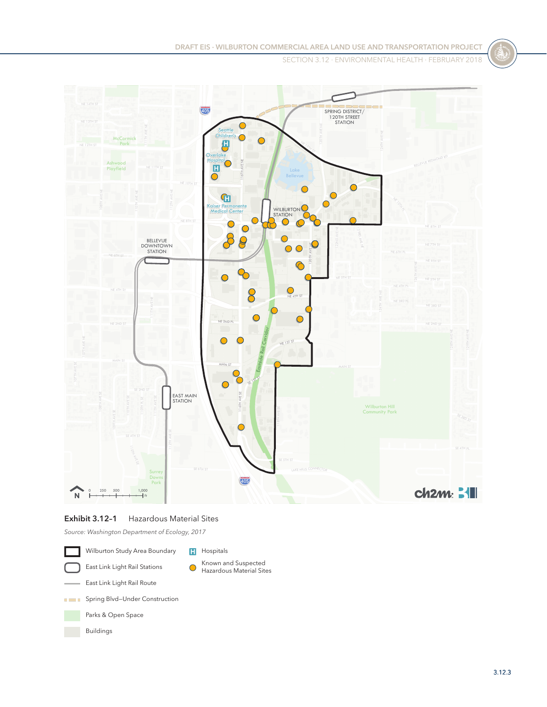SECTION 3.12 ⋅ Environmental Health ⋅ FEBRUARY 2018



#### <span id="page-2-0"></span>**Exhibit 3.12–1** Hazardous Material Sites

*Source: Washington Department of Ecology, 2017*

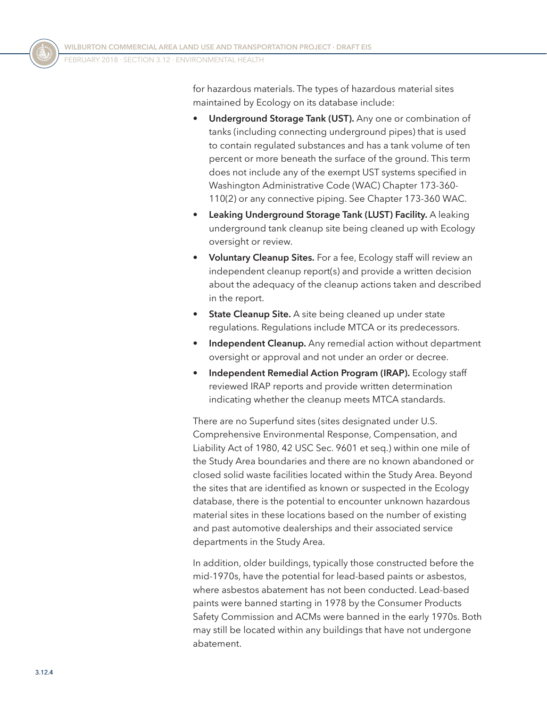for hazardous materials. The types of hazardous material sites maintained by Ecology on its database include:

- **Underground Storage Tank (UST).** Any one or combination of tanks (including connecting underground pipes) that is used to contain regulated substances and has a tank volume of ten percent or more beneath the surface of the ground. This term does not include any of the exempt UST systems specified in Washington Administrative Code (WAC) Chapter 173-360- 110(2) or any connective piping. See Chapter 173-360 WAC.
- **Leaking Underground Storage Tank (LUST) Facility.** A leaking underground tank cleanup site being cleaned up with Ecology oversight or review.
- **Voluntary Cleanup Sites.** For a fee, Ecology staff will review an independent cleanup report(s) and provide a written decision about the adequacy of the cleanup actions taken and described in the report.
- **State Cleanup Site.** A site being cleaned up under state regulations. Regulations include MTCA or its predecessors.
- **Independent Cleanup.** Any remedial action without department oversight or approval and not under an order or decree.
- **Independent Remedial Action Program (IRAP).** Ecology staff reviewed IRAP reports and provide written determination indicating whether the cleanup meets MTCA standards.

There are no Superfund sites (sites designated under U.S. Comprehensive Environmental Response, Compensation, and Liability Act of 1980, 42 USC Sec. 9601 et seq.) within one mile of the Study Area boundaries and there are no known abandoned or closed solid waste facilities located within the Study Area. Beyond the sites that are identified as known or suspected in the Ecology database, there is the potential to encounter unknown hazardous material sites in these locations based on the number of existing and past automotive dealerships and their associated service departments in the Study Area.

In addition, older buildings, typically those constructed before the mid-1970s, have the potential for lead-based paints or asbestos, where asbestos abatement has not been conducted. Lead-based paints were banned starting in 1978 by the Consumer Products Safety Commission and ACMs were banned in the early 1970s. Both may still be located within any buildings that have not undergone abatement.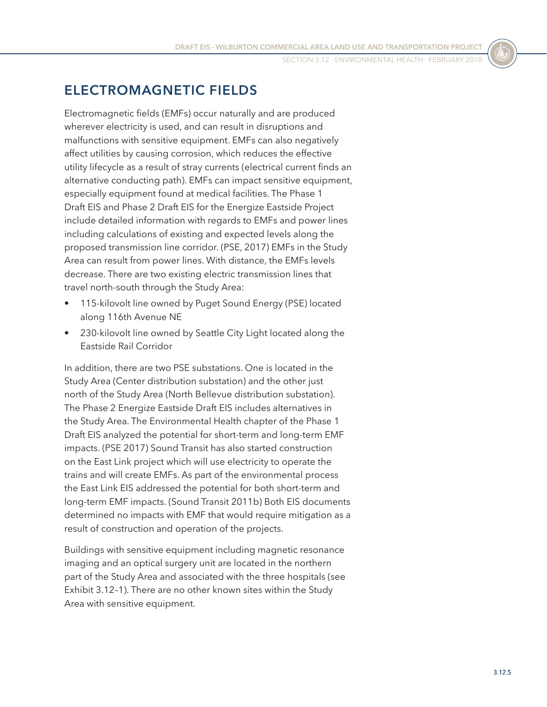SECTION 3.12 ⋅ Environmental Health ⋅ FEBRUARY 2018

## **ELECTROMAGNETIC FIELDS**

Electromagnetic fields (EMFs) occur naturally and are produced wherever electricity is used, and can result in disruptions and malfunctions with sensitive equipment. EMFs can also negatively affect utilities by causing corrosion, which reduces the effective utility lifecycle as a result of stray currents (electrical current finds an alternative conducting path). EMFs can impact sensitive equipment, especially equipment found at medical facilities. The Phase 1 Draft EIS and Phase 2 Draft EIS for the Energize Eastside Project include detailed information with regards to EMFs and power lines including calculations of existing and expected levels along the proposed transmission line corridor. (PSE, 2017) EMFs in the Study Area can result from power lines. With distance, the EMFs levels decrease. There are two existing electric transmission lines that travel north-south through the Study Area:

- 115-kilovolt line owned by Puget Sound Energy (PSE) located along 116th Avenue NE
- 230-kilovolt line owned by Seattle City Light located along the Eastside Rail Corridor

In addition, there are two PSE substations. One is located in the Study Area (Center distribution substation) and the other just north of the Study Area (North Bellevue distribution substation). The Phase 2 Energize Eastside Draft EIS includes alternatives in the Study Area. The Environmental Health chapter of the Phase 1 Draft EIS analyzed the potential for short-term and long-term EMF impacts. (PSE 2017) Sound Transit has also started construction on the East Link project which will use electricity to operate the trains and will create EMFs. As part of the environmental process the East Link EIS addressed the potential for both short-term and long-term EMF impacts. (Sound Transit 2011b) Both EIS documents determined no impacts with EMF that would require mitigation as a result of construction and operation of the projects.

Buildings with sensitive equipment including magnetic resonance imaging and an optical surgery unit are located in the northern part of the Study Area and associated with the three hospitals (see [Exhibit 3.12–1\)](#page-2-0). There are no other known sites within the Study Area with sensitive equipment.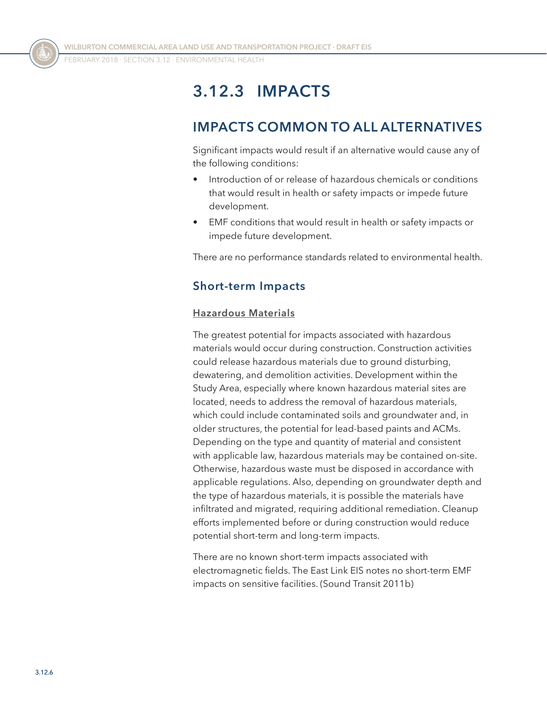FEBRUARY 2018 ⋅ SECTION 3.12 ⋅ Environmental Health

# **3.12.3 IMPACTS**

## **IMPACTS COMMON TO ALL ALTERNATIVES**

Significant impacts would result if an alternative would cause any of the following conditions:

- Introduction of or release of hazardous chemicals or conditions that would result in health or safety impacts or impede future development.
- EMF conditions that would result in health or safety impacts or impede future development.

There are no performance standards related to environmental health.

## **Short-term Impacts**

#### **Hazardous Materials**

The greatest potential for impacts associated with hazardous materials would occur during construction. Construction activities could release hazardous materials due to ground disturbing, dewatering, and demolition activities. Development within the Study Area, especially where known hazardous material sites are located, needs to address the removal of hazardous materials, which could include contaminated soils and groundwater and, in older structures, the potential for lead-based paints and ACMs. Depending on the type and quantity of material and consistent with applicable law, hazardous materials may be contained on-site. Otherwise, hazardous waste must be disposed in accordance with applicable regulations. Also, depending on groundwater depth and the type of hazardous materials, it is possible the materials have infiltrated and migrated, requiring additional remediation. Cleanup efforts implemented before or during construction would reduce potential short-term and long-term impacts.

There are no known short-term impacts associated with electromagnetic fields. The East Link EIS notes no short-term EMF impacts on sensitive facilities. (Sound Transit 2011b)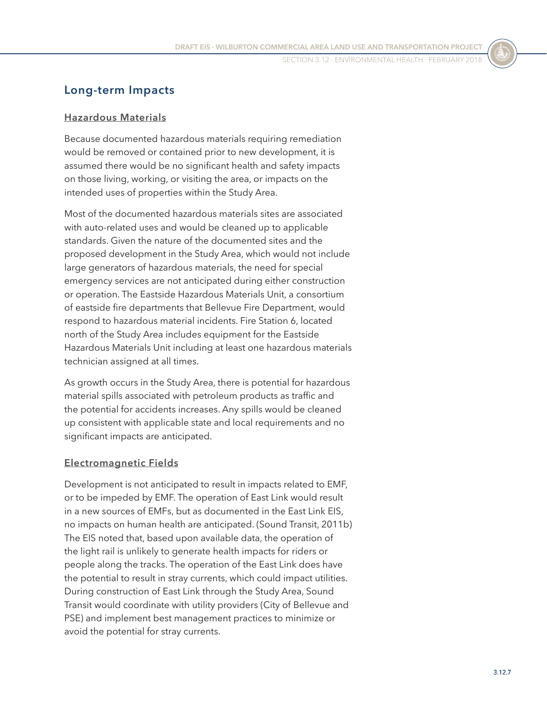### **Long-term Impacts**

#### **Hazardous Materials**

Because documented hazardous materials requiring remediation would be removed or contained prior to new development, it is assumed there would be no significant health and safety impacts on those living, working, or visiting the area, or impacts on the intended uses of properties within the Study Area.

Most of the documented hazardous materials sites are associated with auto-related uses and would be cleaned up to applicable standards. Given the nature of the documented sites and the proposed development in the Study Area, which would not include large generators of hazardous materials, the need for special emergency services are not anticipated during either construction or operation. The Eastside Hazardous Materials Unit, a consortium of eastside fire departments that Bellevue Fire Department, would respond to hazardous material incidents. Fire Station 6, located north of the Study Area includes equipment for the Eastside Hazardous Materials Unit including at least one hazardous materials technician assigned at all times.

As growth occurs in the Study Area, there is potential for hazardous material spills associated with petroleum products as traffic and the potential for accidents increases. Any spills would be cleaned up consistent with applicable state and local requirements and no significant impacts are anticipated.

#### **Electromagnetic Fields**

Development is not anticipated to result in impacts related to EMF, or to be impeded by EMF. The operation of East Link would result in a new sources of EMFs, but as documented in the East Link EIS, no impacts on human health are anticipated. (Sound Transit, 2011b) The EIS noted that, based upon available data, the operation of the light rail is unlikely to generate health impacts for riders or people along the tracks. The operation of the East Link does have the potential to result in stray currents, which could impact utilities. During construction of East Link through the Study Area, Sound Transit would coordinate with utility providers (City of Bellevue and PSE) and implement best management practices to minimize or avoid the potential for stray currents.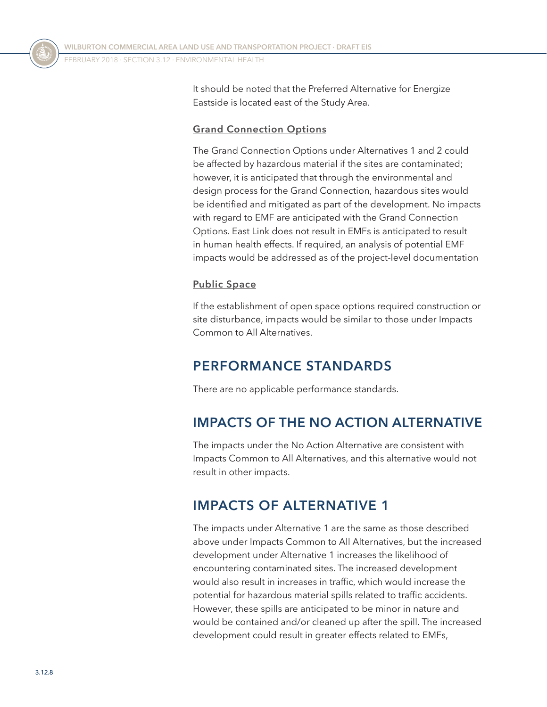It should be noted that the Preferred Alternative for Energize Eastside is located east of the Study Area.

#### **Grand Connection Options**

The Grand Connection Options under Alternatives 1 and 2 could be affected by hazardous material if the sites are contaminated; however, it is anticipated that through the environmental and design process for the Grand Connection, hazardous sites would be identified and mitigated as part of the development. No impacts with regard to EMF are anticipated with the Grand Connection Options. East Link does not result in EMFs is anticipated to result in human health effects. If required, an analysis of potential EMF impacts would be addressed as of the project-level documentation

#### **Public Space**

If the establishment of open space options required construction or site disturbance, impacts would be similar to those under Impacts Common to All Alternatives.

## **PERFORMANCE STANDARDS**

There are no applicable performance standards.

## **IMPACTS OF THE NO ACTION ALTERNATIVE**

The impacts under the No Action Alternative are consistent with Impacts Common to All Alternatives, and this alternative would not result in other impacts.

## **IMPACTS OF ALTERNATIVE 1**

The impacts under Alternative 1 are the same as those described above under Impacts Common to All Alternatives, but the increased development under Alternative 1 increases the likelihood of encountering contaminated sites. The increased development would also result in increases in traffic, which would increase the potential for hazardous material spills related to traffic accidents. However, these spills are anticipated to be minor in nature and would be contained and/or cleaned up after the spill. The increased development could result in greater effects related to EMFs,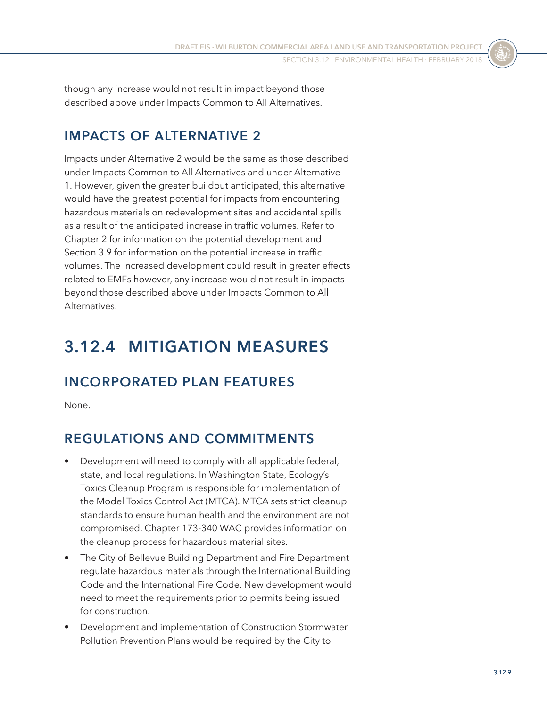though any increase would not result in impact beyond those described above under Impacts Common to All Alternatives.

## **IMPACTS OF ALTERNATIVE 2**

Impacts under Alternative 2 would be the same as those described under Impacts Common to All Alternatives and under Alternative 1. However, given the greater buildout anticipated, this alternative would have the greatest potential for impacts from encountering hazardous materials on redevelopment sites and accidental spills as a result of the anticipated increase in traffic volumes. Refer to Chapter 2 for information on the potential development and Section 3.9 for information on the potential increase in traffic volumes. The increased development could result in greater effects related to EMFs however, any increase would not result in impacts beyond those described above under Impacts Common to All Alternatives.

## **3.12.4 MITIGATION MEASURES**

## **INCORPORATED PLAN FEATURES**

None.

## **REGULATIONS AND COMMITMENTS**

- Development will need to comply with all applicable federal, state, and local regulations. In Washington State, Ecology's Toxics Cleanup Program is responsible for implementation of the Model Toxics Control Act (MTCA). MTCA sets strict cleanup standards to ensure human health and the environment are not compromised. Chapter 173-340 WAC provides information on the cleanup process for hazardous material sites.
- The City of Bellevue Building Department and Fire Department regulate hazardous materials through the International Building Code and the International Fire Code. New development would need to meet the requirements prior to permits being issued for construction.
- Development and implementation of Construction Stormwater Pollution Prevention Plans would be required by the City to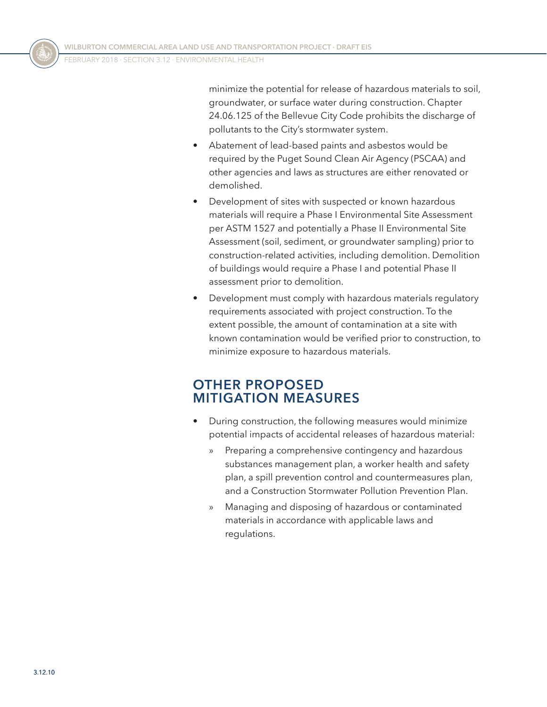minimize the potential for release of hazardous materials to soil, groundwater, or surface water during construction. Chapter 24.06.125 of the Bellevue City Code prohibits the discharge of pollutants to the City's stormwater system.

- Abatement of lead-based paints and asbestos would be required by the Puget Sound Clean Air Agency (PSCAA) and other agencies and laws as structures are either renovated or demolished.
- Development of sites with suspected or known hazardous materials will require a Phase I Environmental Site Assessment per ASTM 1527 and potentially a Phase II Environmental Site Assessment (soil, sediment, or groundwater sampling) prior to construction-related activities, including demolition. Demolition of buildings would require a Phase I and potential Phase II assessment prior to demolition.
- Development must comply with hazardous materials regulatory requirements associated with project construction. To the extent possible, the amount of contamination at a site with known contamination would be verified prior to construction, to minimize exposure to hazardous materials.

## **OTHER PROPOSED MITIGATION MEASURES**

- During construction, the following measures would minimize potential impacts of accidental releases of hazardous material:
	- » Preparing a comprehensive contingency and hazardous substances management plan, a worker health and safety plan, a spill prevention control and countermeasures plan, and a Construction Stormwater Pollution Prevention Plan.
	- » Managing and disposing of hazardous or contaminated materials in accordance with applicable laws and regulations.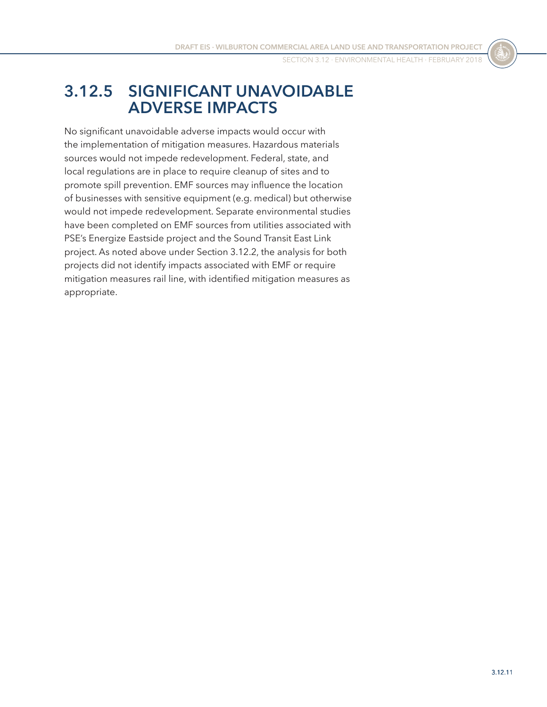SECTION 3.12 ⋅ Environmental Health ⋅ FEBRUARY 2018

## **3.12.5 SIGNIFICANT UNAVOIDABLE ADVERSE IMPACTS**

No significant unavoidable adverse impacts would occur with the implementation of mitigation measures. Hazardous materials sources would not impede redevelopment. Federal, state, and local regulations are in place to require cleanup of sites and to promote spill prevention. EMF sources may influence the location of businesses with sensitive equipment (e.g. medical) but otherwise would not impede redevelopment. Separate environmental studies have been completed on EMF sources from utilities associated with PSE's Energize Eastside project and the Sound Transit East Link project. As noted above under [Section 3.12.2](#page-1-0), the analysis for both projects did not identify impacts associated with EMF or require mitigation measures rail line, with identified mitigation measures as appropriate.